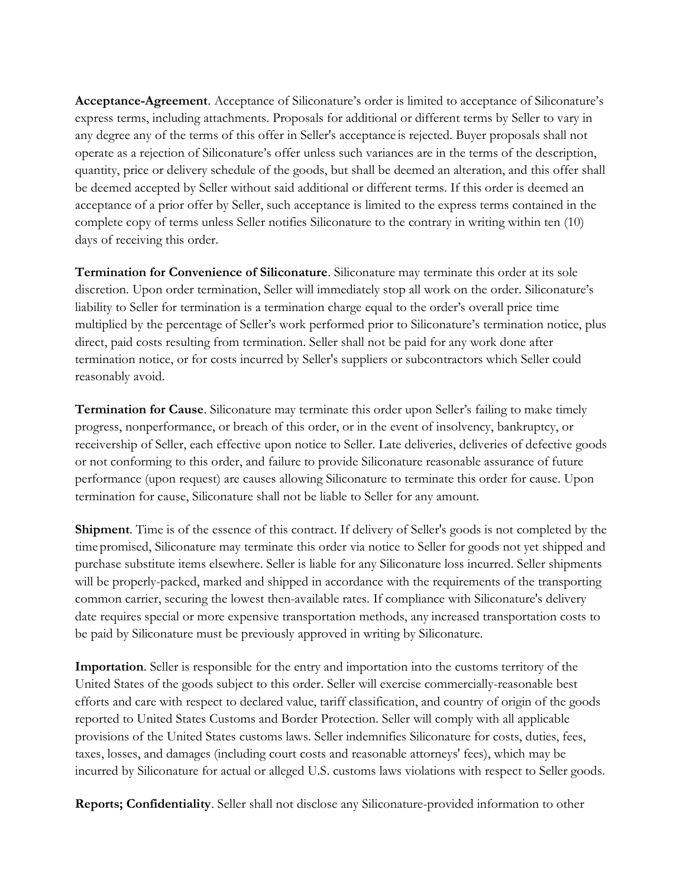Acceptance-Agreement. Acceptance of Siliconature's order is limited to acceptance of Siliconature's express terms, including attachments. Proposals for additional or different terms by Seller to vary in any degree any of the terms of this offer in Seller's acceptance is rejected. Buyer proposals shall not operate as a rejection of Siliconature's offer unless such variances are in the terms of the description, quantity, price or delivery schedule of the goods, but shall be deemed an alteration, and this offer shall be deemed accepted by Seller without said additional or different terms. If this order is deemed an acceptance of a prior offer by Seller, such acceptance is limited to the express terms contained in the complete copy of terms unless Seller notifies Siliconature to the contrary in writing within ten (10) days of receiving this order.

Termination for Convenience of Siliconature. Siliconature may terminate this order at its sole discretion. Upon order termination, Seller will immediately stop all work on the order. Siliconature's liability to Seller for termination is a termination charge equal to the order's overall price time multiplied by the percentage of Seller's work performed prior to Siliconature's termination notice, plus direct, paid costs resulting from termination. Seller shall not be paid for any work done after termination notice, or for costs incurred by Seller's suppliers or subcontractors which Seller could reasonably avoid.

Termination for Cause. Siliconature may terminate this order upon Seller's failing to make timely progress, nonperformance, or breach of this order, or in the event of insolvency, bankruptcy, or receivership of Seller, each effective upon notice to Seller. Late deliveries, deliveries of defective goods or not conforming to this order, and failure to provide Siliconature reasonable assurance of future performance (upon request) are causes allowing Siliconature to terminate this order for cause. Upon termination for cause, Siliconature shall not be liable to Seller for any amount.

Shipment. Time is of the essence of this contract. If delivery of Seller's goods is not completed by the time promised, Siliconature may terminate this order via notice to Seller for goods not yet shipped and purchase substitute items elsewhere. Seller is liable for any Siliconature loss incurred. Seller shipments will be properly-packed, marked and shipped in accordance with the requirements of the transporting common carrier, securing the lowest then-available rates. If compliance with Siliconature's delivery date requires special or more expensive transportation methods, any increased transportation costs to be paid by Siliconature must be previously approved in writing by Siliconature.

Importation. Seller is responsible for the entry and importation into the customs territory of the United States of the goods subject to this order. Seller will exercise commercially-reasonable best efforts and care with respect to declared value, tariff classification, and country of origin of the goods reported to United States Customs and Border Protection. Seller will comply with all applicable provisions of the United States customs laws. Seller indemnifies Siliconature for costs, duties, fees, taxes, losses, and damages (including court costs and reasonable attorneys' fees), which may be incurred by Siliconature for actual or alleged U.S. customs laws violations with respect to Seller goods.

Reports; Confidentiality. Seller shall not disclose any Siliconature-provided information to other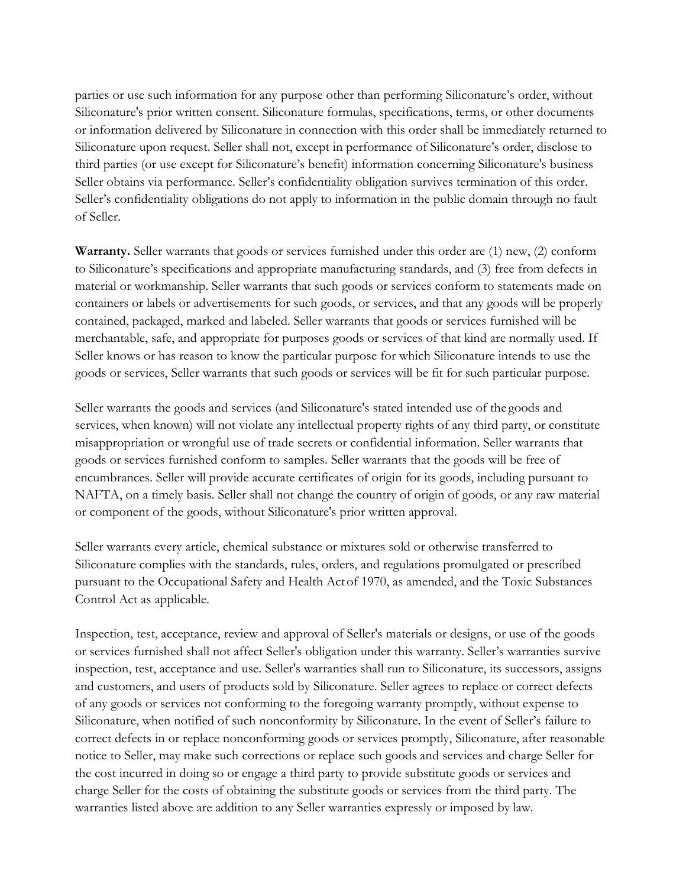parties or use such information for any purpose other than performing Siliconature's order, without Siliconature's prior written consent. Siliconature formulas, specifications, terms, or other documents or information delivered by Siliconature in connection with this order shall be immediately returned to Siliconature upon request. Seller shall not, except in performance of Siliconature's order, disclose to third parties (or use except for Siliconature's benefit) information concerning Siliconature's business Seller obtains via performance. Seller's confidentiality obligation survives termination of this order. Seller's confidentiality obligations do not apply to information in the public domain through no fault of Seller.

Warranty. Seller warrants that goods or services furnished under this order are (1) new, (2) conform to Siliconature's specifications and appropriate manufacturing standards, and (3) free from defects in material or workmanship. Seller warrants that such goods or services conform to statements made on containers or labels or advertisements for such goods, or services, and that any goods will be properly contained, packaged, marked and labeled. Seller warrants that goods or services furnished will be merchantable, safe, and appropriate for purposes goods or services of that kind are normally used. If Seller knows or has reason to know the particular purpose for which Siliconature intends to use the goods or services, Seller warrants that such goods or services will be fit for such particular purpose.

Seller warrants the goods and services (and Siliconature's stated intended use of the goods and services, when known) will not violate any intellectual property rights of any third party, or constitute misappropriation or wrongful use of trade secrets or confidential information. Seller warrants that goods or services furnished conform to samples. Seller warrants that the goods will be free of encumbrances. Seller will provide accurate certificates of origin for its goods, including pursuant to NAFTA, on a timely basis. Seller shall not change the country of origin of goods, or any raw material or component of the goods, without Siliconature's prior written approval.

Seller warrants every article, chemical substance or mixtures sold or otherwise transferred to Siliconature complies with the standards, rules, orders, and regulations promulgated or prescribed pursuant to the Occupational Safety and Health Act of 1970, as amended, and the Toxic Substances Control Act as applicable.

Inspection, test, acceptance, review and approval of Seller's materials or designs, or use of the goods or services furnished shall not affect Seller's obligation under this warranty. Seller's warranties survive inspection, test, acceptance and use. Seller's warranties shall run to Siliconature, its successors, assigns and customers, and users of products sold by Siliconature. Seller agrees to replace or correct defects of any goods or services not conforming to the foregoing warranty promptly, without expense to Siliconature, when notified of such nonconformity by Siliconature. In the event of Seller's failure to correct defects in or replace nonconforming goods or services promptly, Siliconature, after reasonable notice to Seller, may make such corrections or replace such goods and services and charge Seller for the cost incurred in doing so or engage a third party to provide substitute goods or services and charge Seller for the costs of obtaining the substitute goods or services from the third party. The warranties listed above are addition to any Seller warranties expressly or imposed by law.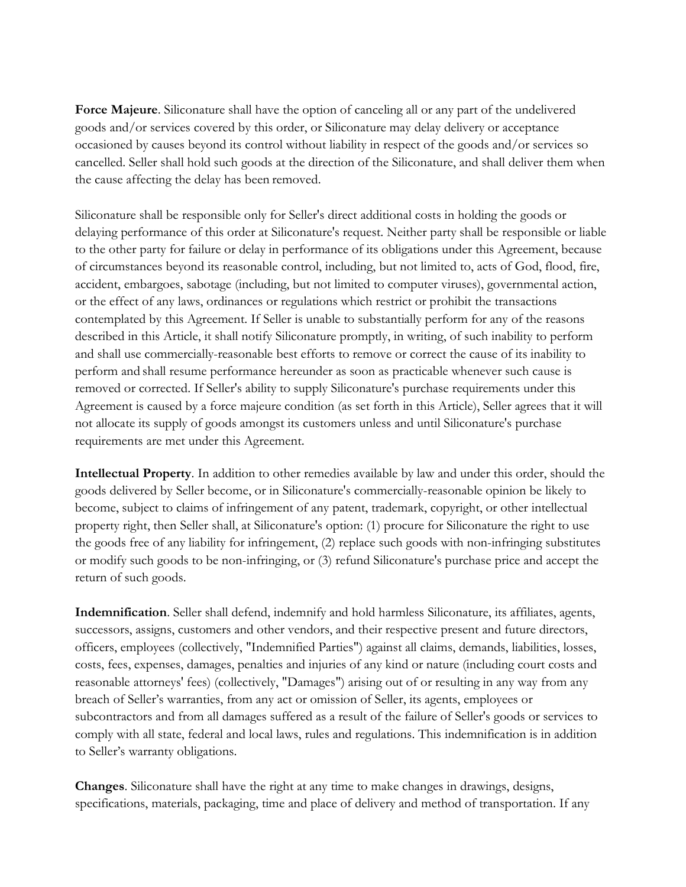Force Majeure. Siliconature shall have the option of canceling all or any part of the undelivered goods and/or services covered by this order, or Siliconature may delay delivery or acceptance occasioned by causes beyond its control without liability in respect of the goods and/or services so cancelled. Seller shall hold such goods at the direction of the Siliconature, and shall deliver them when the cause affecting the delay has been removed.

Siliconature shall be responsible only for Seller's direct additional costs in holding the goods or delaying performance of this order at Siliconature's request. Neither party shall be responsible or liable to the other party for failure or delay in performance of its obligations under this Agreement, because of circumstances beyond its reasonable control, including, but not limited to, acts of God, flood, fire, accident, embargoes, sabotage (including, but not limited to computer viruses), governmental action, or the effect of any laws, ordinances or regulations which restrict or prohibit the transactions contemplated by this Agreement. If Seller is unable to substantially perform for any of the reasons described in this Article, it shall notify Siliconature promptly, in writing, of such inability to perform and shall use commercially-reasonable best efforts to remove or correct the cause of its inability to perform and shall resume performance hereunder as soon as practicable whenever such cause is removed or corrected. If Seller's ability to supply Siliconature's purchase requirements under this Agreement is caused by a force majeure condition (as set forth in this Article), Seller agrees that it will not allocate its supply of goods amongst its customers unless and until Siliconature's purchase requirements are met under this Agreement.

Intellectual Property. In addition to other remedies available by law and under this order, should the goods delivered by Seller become, or in Siliconature's commercially-reasonable opinion be likely to become, subject to claims of infringement of any patent, trademark, copyright, or other intellectual property right, then Seller shall, at Siliconature's option: (1) procure for Siliconature the right to use the goods free of any liability for infringement, (2) replace such goods with non-infringing substitutes or modify such goods to be non-infringing, or (3) refund Siliconature's purchase price and accept the return of such goods.

Indemnification. Seller shall defend, indemnify and hold harmless Siliconature, its affiliates, agents, successors, assigns, customers and other vendors, and their respective present and future directors, officers, employees (collectively, "Indemnified Parties") against all claims, demands, liabilities, losses, costs, fees, expenses, damages, penalties and injuries of any kind or nature (including court costs and reasonable attorneys' fees) (collectively, "Damages") arising out of or resulting in any way from any breach of Seller's warranties, from any act or omission of Seller, its agents, employees or subcontractors and from all damages suffered as a result of the failure of Seller's goods or services to comply with all state, federal and local laws, rules and regulations. This indemnification is in addition to Seller's warranty obligations.

Changes. Siliconature shall have the right at any time to make changes in drawings, designs, specifications, materials, packaging, time and place of delivery and method of transportation. If any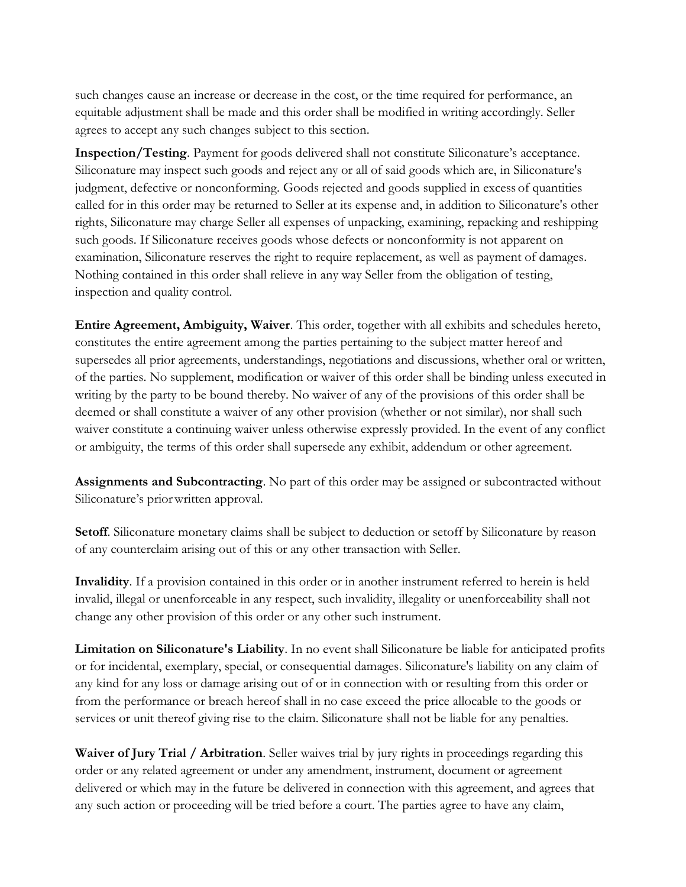such changes cause an increase or decrease in the cost, or the time required for performance, an equitable adjustment shall be made and this order shall be modified in writing accordingly. Seller agrees to accept any such changes subject to this section.

Inspection/Testing. Payment for goods delivered shall not constitute Siliconature's acceptance. Siliconature may inspect such goods and reject any or all of said goods which are, in Siliconature's judgment, defective or nonconforming. Goods rejected and goods supplied in excess of quantities called for in this order may be returned to Seller at its expense and, in addition to Siliconature's other rights, Siliconature may charge Seller all expenses of unpacking, examining, repacking and reshipping such goods. If Siliconature receives goods whose defects or nonconformity is not apparent on examination, Siliconature reserves the right to require replacement, as well as payment of damages. Nothing contained in this order shall relieve in any way Seller from the obligation of testing, inspection and quality control.

Entire Agreement, Ambiguity, Waiver. This order, together with all exhibits and schedules hereto, constitutes the entire agreement among the parties pertaining to the subject matter hereof and supersedes all prior agreements, understandings, negotiations and discussions, whether oral or written, of the parties. No supplement, modification or waiver of this order shall be binding unless executed in writing by the party to be bound thereby. No waiver of any of the provisions of this order shall be deemed or shall constitute a waiver of any other provision (whether or not similar), nor shall such waiver constitute a continuing waiver unless otherwise expressly provided. In the event of any conflict or ambiguity, the terms of this order shall supersede any exhibit, addendum or other agreement.

Assignments and Subcontracting. No part of this order may be assigned or subcontracted without Siliconature's prior written approval.

Setoff. Siliconature monetary claims shall be subject to deduction or setoff by Siliconature by reason of any counterclaim arising out of this or any other transaction with Seller.

Invalidity. If a provision contained in this order or in another instrument referred to herein is held invalid, illegal or unenforceable in any respect, such invalidity, illegality or unenforceability shall not change any other provision of this order or any other such instrument.

Limitation on Siliconature's Liability. In no event shall Siliconature be liable for anticipated profits or for incidental, exemplary, special, or consequential damages. Siliconature's liability on any claim of any kind for any loss or damage arising out of or in connection with or resulting from this order or from the performance or breach hereof shall in no case exceed the price allocable to the goods or services or unit thereof giving rise to the claim. Siliconature shall not be liable for any penalties.

Waiver of Jury Trial / Arbitration. Seller waives trial by jury rights in proceedings regarding this order or any related agreement or under any amendment, instrument, document or agreement delivered or which may in the future be delivered in connection with this agreement, and agrees that any such action or proceeding will be tried before a court. The parties agree to have any claim,